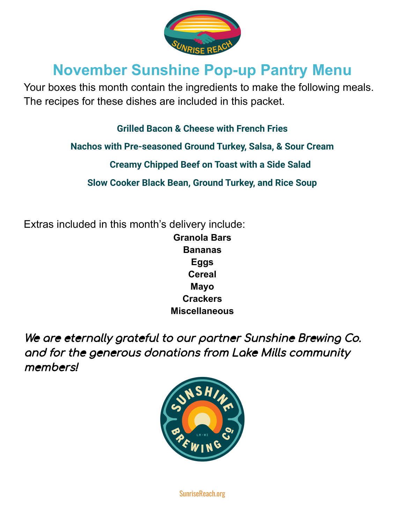

# **November Sunshine Pop-up Pantry Menu**

Your boxes this month contain the ingredients to make the following meals. The recipes for these dishes are included in this packet.

**Grilled Bacon & Cheese with French Fries**

**Nachos with Pre-seasoned Ground Turkey, Salsa, & Sour Cream**

**Creamy Chipped Beef on Toast with a Side Salad**

**Slow Cooker Black Bean, Ground Turkey, and Rice Soup**

Extras included in this month's delivery include: **Granola Bars Bananas Eggs Cereal Mayo Crackers Miscellaneous**

We are eternally grateful to our partner Sunshine Brewing Co. and for the generous donations from Lake Mills community members!



SunriseReach.org